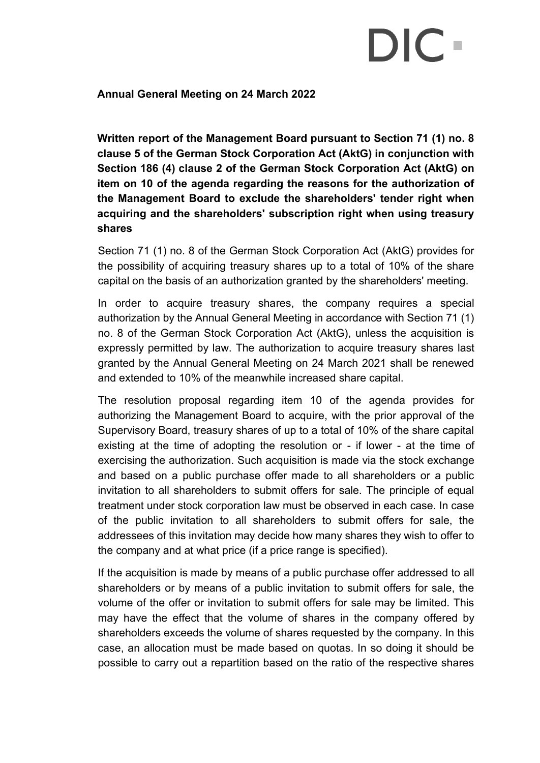## DIC.

**Annual General Meeting on 24 March 2022**

**Written report of the Management Board pursuant to Section 71 (1) no. 8 clause 5 of the German Stock Corporation Act (AktG) in conjunction with Section 186 (4) clause 2 of the German Stock Corporation Act (AktG) on item on 10 of the agenda regarding the reasons for the authorization of the Management Board to exclude the shareholders' tender right when acquiring and the shareholders' subscription right when using treasury shares**

Section 71 (1) no. 8 of the German Stock Corporation Act (AktG) provides for the possibility of acquiring treasury shares up to a total of 10% of the share capital on the basis of an authorization granted by the shareholders' meeting.

In order to acquire treasury shares, the company requires a special authorization by the Annual General Meeting in accordance with Section 71 (1) no. 8 of the German Stock Corporation Act (AktG), unless the acquisition is expressly permitted by law. The authorization to acquire treasury shares last granted by the Annual General Meeting on 24 March 2021 shall be renewed and extended to 10% of the meanwhile increased share capital.

The resolution proposal regarding item 10 of the agenda provides for authorizing the Management Board to acquire, with the prior approval of the Supervisory Board, treasury shares of up to a total of 10% of the share capital existing at the time of adopting the resolution or - if lower - at the time of exercising the authorization. Such acquisition is made via the stock exchange and based on a public purchase offer made to all shareholders or a public invitation to all shareholders to submit offers for sale. The principle of equal treatment under stock corporation law must be observed in each case. In case of the public invitation to all shareholders to submit offers for sale, the addressees of this invitation may decide how many shares they wish to offer to the company and at what price (if a price range is specified).

If the acquisition is made by means of a public purchase offer addressed to all shareholders or by means of a public invitation to submit offers for sale, the volume of the offer or invitation to submit offers for sale may be limited. This may have the effect that the volume of shares in the company offered by shareholders exceeds the volume of shares requested by the company. In this case, an allocation must be made based on quotas. In so doing it should be possible to carry out a repartition based on the ratio of the respective shares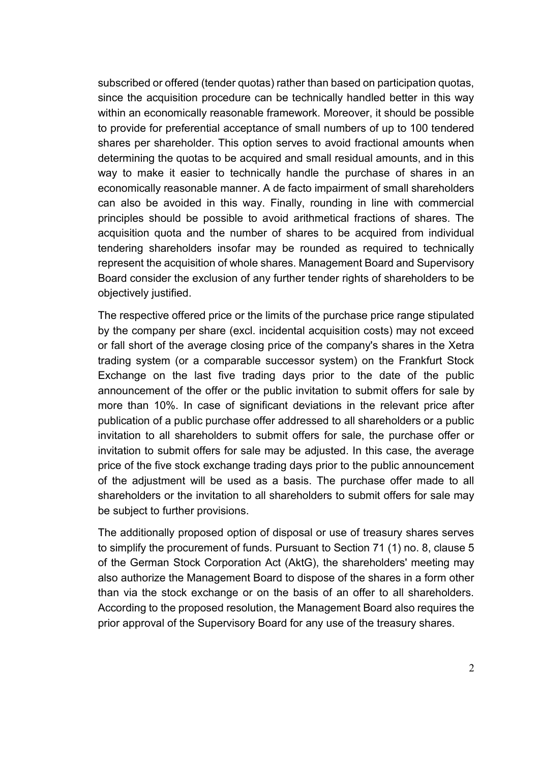subscribed or offered (tender quotas) rather than based on participation quotas, since the acquisition procedure can be technically handled better in this way within an economically reasonable framework. Moreover, it should be possible to provide for preferential acceptance of small numbers of up to 100 tendered shares per shareholder. This option serves to avoid fractional amounts when determining the quotas to be acquired and small residual amounts, and in this way to make it easier to technically handle the purchase of shares in an economically reasonable manner. A de facto impairment of small shareholders can also be avoided in this way. Finally, rounding in line with commercial principles should be possible to avoid arithmetical fractions of shares. The acquisition quota and the number of shares to be acquired from individual tendering shareholders insofar may be rounded as required to technically represent the acquisition of whole shares. Management Board and Supervisory Board consider the exclusion of any further tender rights of shareholders to be objectively justified.

The respective offered price or the limits of the purchase price range stipulated by the company per share (excl. incidental acquisition costs) may not exceed or fall short of the average closing price of the company's shares in the Xetra trading system (or a comparable successor system) on the Frankfurt Stock Exchange on the last five trading days prior to the date of the public announcement of the offer or the public invitation to submit offers for sale by more than 10%. In case of significant deviations in the relevant price after publication of a public purchase offer addressed to all shareholders or a public invitation to all shareholders to submit offers for sale, the purchase offer or invitation to submit offers for sale may be adjusted. In this case, the average price of the five stock exchange trading days prior to the public announcement of the adjustment will be used as a basis. The purchase offer made to all shareholders or the invitation to all shareholders to submit offers for sale may be subject to further provisions.

The additionally proposed option of disposal or use of treasury shares serves to simplify the procurement of funds. Pursuant to Section 71 (1) no. 8, clause 5 of the German Stock Corporation Act (AktG), the shareholders' meeting may also authorize the Management Board to dispose of the shares in a form other than via the stock exchange or on the basis of an offer to all shareholders. According to the proposed resolution, the Management Board also requires the prior approval of the Supervisory Board for any use of the treasury shares.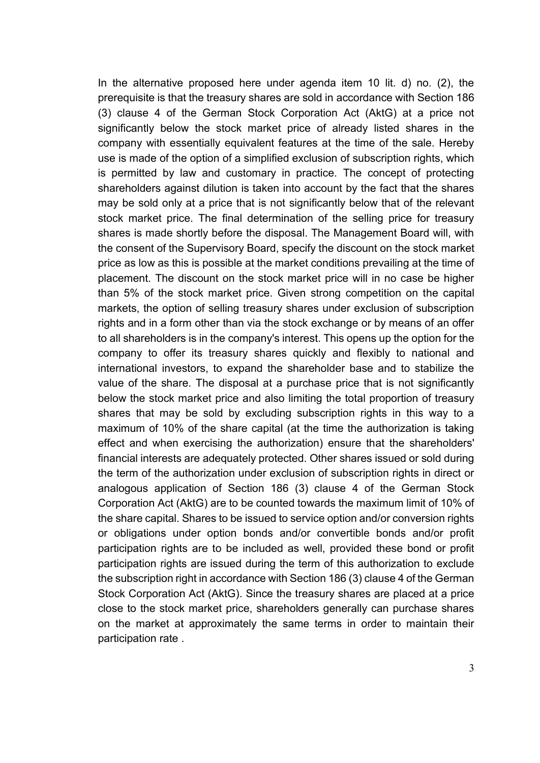In the alternative proposed here under agenda item 10 lit. d) no. (2), the prerequisite is that the treasury shares are sold in accordance with Section 186 (3) clause 4 of the German Stock Corporation Act (AktG) at a price not significantly below the stock market price of already listed shares in the company with essentially equivalent features at the time of the sale. Hereby use is made of the option of a simplified exclusion of subscription rights, which is permitted by law and customary in practice. The concept of protecting shareholders against dilution is taken into account by the fact that the shares may be sold only at a price that is not significantly below that of the relevant stock market price. The final determination of the selling price for treasury shares is made shortly before the disposal. The Management Board will, with the consent of the Supervisory Board, specify the discount on the stock market price as low as this is possible at the market conditions prevailing at the time of placement. The discount on the stock market price will in no case be higher than 5% of the stock market price. Given strong competition on the capital markets, the option of selling treasury shares under exclusion of subscription rights and in a form other than via the stock exchange or by means of an offer to all shareholders is in the company's interest. This opens up the option for the company to offer its treasury shares quickly and flexibly to national and international investors, to expand the shareholder base and to stabilize the value of the share. The disposal at a purchase price that is not significantly below the stock market price and also limiting the total proportion of treasury shares that may be sold by excluding subscription rights in this way to a maximum of 10% of the share capital (at the time the authorization is taking effect and when exercising the authorization) ensure that the shareholders' financial interests are adequately protected. Other shares issued or sold during the term of the authorization under exclusion of subscription rights in direct or analogous application of Section 186 (3) clause 4 of the German Stock Corporation Act (AktG) are to be counted towards the maximum limit of 10% of the share capital. Shares to be issued to service option and/or conversion rights or obligations under option bonds and/or convertible bonds and/or profit participation rights are to be included as well, provided these bond or profit participation rights are issued during the term of this authorization to exclude the subscription right in accordance with Section 186 (3) clause 4 of the German Stock Corporation Act (AktG). Since the treasury shares are placed at a price close to the stock market price, shareholders generally can purchase shares on the market at approximately the same terms in order to maintain their participation rate .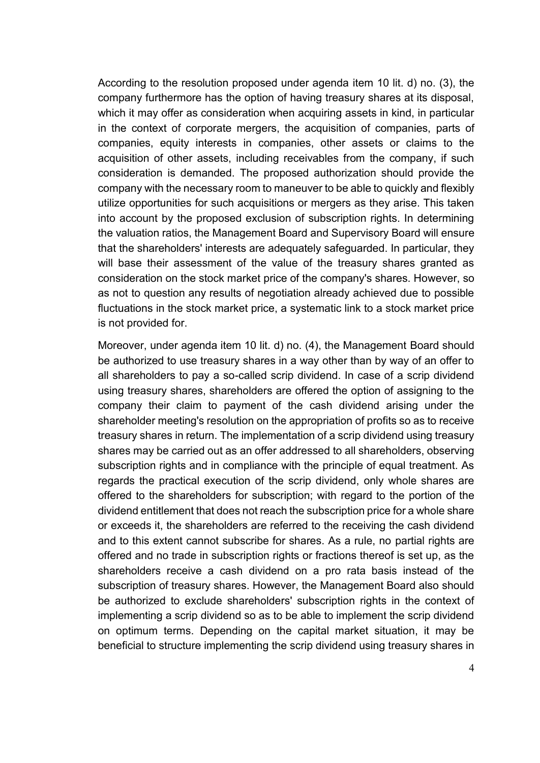According to the resolution proposed under agenda item 10 lit. d) no. (3), the company furthermore has the option of having treasury shares at its disposal, which it may offer as consideration when acquiring assets in kind, in particular in the context of corporate mergers, the acquisition of companies, parts of companies, equity interests in companies, other assets or claims to the acquisition of other assets, including receivables from the company, if such consideration is demanded. The proposed authorization should provide the company with the necessary room to maneuver to be able to quickly and flexibly utilize opportunities for such acquisitions or mergers as they arise. This taken into account by the proposed exclusion of subscription rights. In determining the valuation ratios, the Management Board and Supervisory Board will ensure that the shareholders' interests are adequately safeguarded. In particular, they will base their assessment of the value of the treasury shares granted as consideration on the stock market price of the company's shares. However, so as not to question any results of negotiation already achieved due to possible fluctuations in the stock market price, a systematic link to a stock market price is not provided for.

Moreover, under agenda item 10 lit. d) no. (4), the Management Board should be authorized to use treasury shares in a way other than by way of an offer to all shareholders to pay a so-called scrip dividend. In case of a scrip dividend using treasury shares, shareholders are offered the option of assigning to the company their claim to payment of the cash dividend arising under the shareholder meeting's resolution on the appropriation of profits so as to receive treasury shares in return. The implementation of a scrip dividend using treasury shares may be carried out as an offer addressed to all shareholders, observing subscription rights and in compliance with the principle of equal treatment. As regards the practical execution of the scrip dividend, only whole shares are offered to the shareholders for subscription; with regard to the portion of the dividend entitlement that does not reach the subscription price for a whole share or exceeds it, the shareholders are referred to the receiving the cash dividend and to this extent cannot subscribe for shares. As a rule, no partial rights are offered and no trade in subscription rights or fractions thereof is set up, as the shareholders receive a cash dividend on a pro rata basis instead of the subscription of treasury shares. However, the Management Board also should be authorized to exclude shareholders' subscription rights in the context of implementing a scrip dividend so as to be able to implement the scrip dividend on optimum terms. Depending on the capital market situation, it may be beneficial to structure implementing the scrip dividend using treasury shares in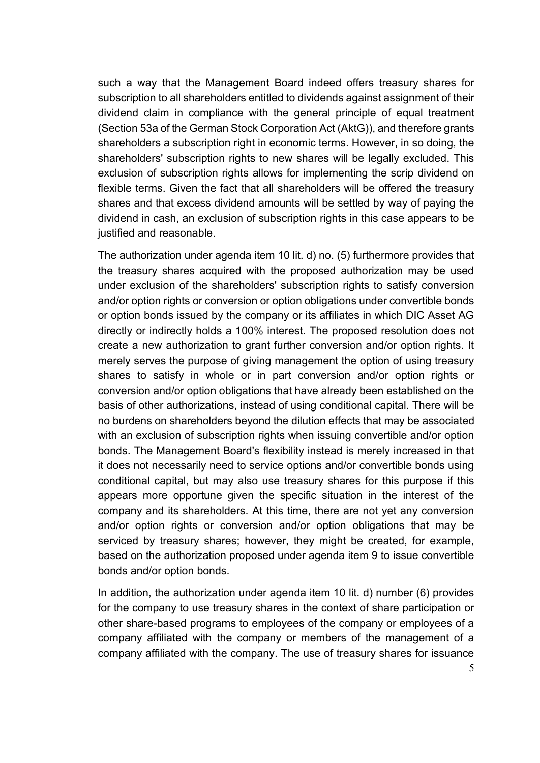such a way that the Management Board indeed offers treasury shares for subscription to all shareholders entitled to dividends against assignment of their dividend claim in compliance with the general principle of equal treatment (Section 53a of the German Stock Corporation Act (AktG)), and therefore grants shareholders a subscription right in economic terms. However, in so doing, the shareholders' subscription rights to new shares will be legally excluded. This exclusion of subscription rights allows for implementing the scrip dividend on flexible terms. Given the fact that all shareholders will be offered the treasury shares and that excess dividend amounts will be settled by way of paying the dividend in cash, an exclusion of subscription rights in this case appears to be justified and reasonable.

The authorization under agenda item 10 lit. d) no. (5) furthermore provides that the treasury shares acquired with the proposed authorization may be used under exclusion of the shareholders' subscription rights to satisfy conversion and/or option rights or conversion or option obligations under convertible bonds or option bonds issued by the company or its affiliates in which DIC Asset AG directly or indirectly holds a 100% interest. The proposed resolution does not create a new authorization to grant further conversion and/or option rights. It merely serves the purpose of giving management the option of using treasury shares to satisfy in whole or in part conversion and/or option rights or conversion and/or option obligations that have already been established on the basis of other authorizations, instead of using conditional capital. There will be no burdens on shareholders beyond the dilution effects that may be associated with an exclusion of subscription rights when issuing convertible and/or option bonds. The Management Board's flexibility instead is merely increased in that it does not necessarily need to service options and/or convertible bonds using conditional capital, but may also use treasury shares for this purpose if this appears more opportune given the specific situation in the interest of the company and its shareholders. At this time, there are not yet any conversion and/or option rights or conversion and/or option obligations that may be serviced by treasury shares; however, they might be created, for example, based on the authorization proposed under agenda item 9 to issue convertible bonds and/or option bonds.

In addition, the authorization under agenda item 10 lit. d) number (6) provides for the company to use treasury shares in the context of share participation or other share-based programs to employees of the company or employees of a company affiliated with the company or members of the management of a company affiliated with the company. The use of treasury shares for issuance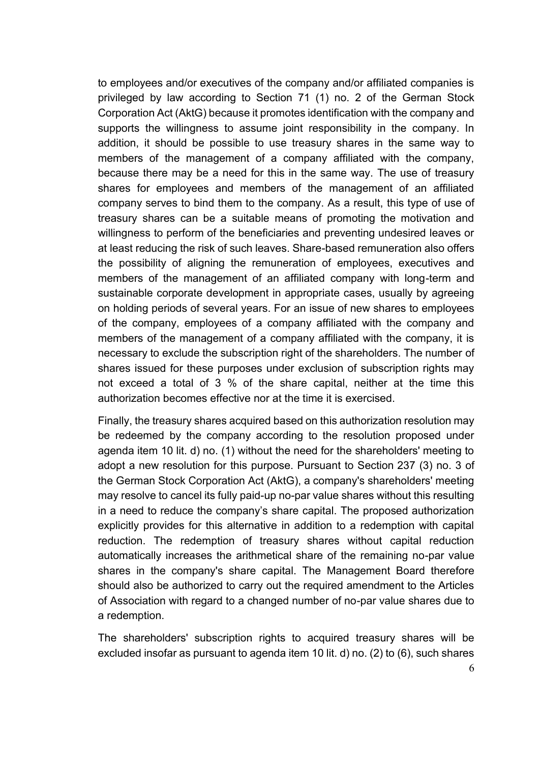to employees and/or executives of the company and/or affiliated companies is privileged by law according to Section 71 (1) no. 2 of the German Stock Corporation Act (AktG) because it promotes identification with the company and supports the willingness to assume joint responsibility in the company. In addition, it should be possible to use treasury shares in the same way to members of the management of a company affiliated with the company, because there may be a need for this in the same way. The use of treasury shares for employees and members of the management of an affiliated company serves to bind them to the company. As a result, this type of use of treasury shares can be a suitable means of promoting the motivation and willingness to perform of the beneficiaries and preventing undesired leaves or at least reducing the risk of such leaves. Share-based remuneration also offers the possibility of aligning the remuneration of employees, executives and members of the management of an affiliated company with long-term and sustainable corporate development in appropriate cases, usually by agreeing on holding periods of several years. For an issue of new shares to employees of the company, employees of a company affiliated with the company and members of the management of a company affiliated with the company, it is necessary to exclude the subscription right of the shareholders. The number of shares issued for these purposes under exclusion of subscription rights may not exceed a total of 3 % of the share capital, neither at the time this authorization becomes effective nor at the time it is exercised.

Finally, the treasury shares acquired based on this authorization resolution may be redeemed by the company according to the resolution proposed under agenda item 10 lit. d) no. (1) without the need for the shareholders' meeting to adopt a new resolution for this purpose. Pursuant to Section 237 (3) no. 3 of the German Stock Corporation Act (AktG), a company's shareholders' meeting may resolve to cancel its fully paid-up no-par value shares without this resulting in a need to reduce the company's share capital. The proposed authorization explicitly provides for this alternative in addition to a redemption with capital reduction. The redemption of treasury shares without capital reduction automatically increases the arithmetical share of the remaining no-par value shares in the company's share capital. The Management Board therefore should also be authorized to carry out the required amendment to the Articles of Association with regard to a changed number of no-par value shares due to a redemption.

The shareholders' subscription rights to acquired treasury shares will be excluded insofar as pursuant to agenda item 10 lit. d) no. (2) to (6), such shares